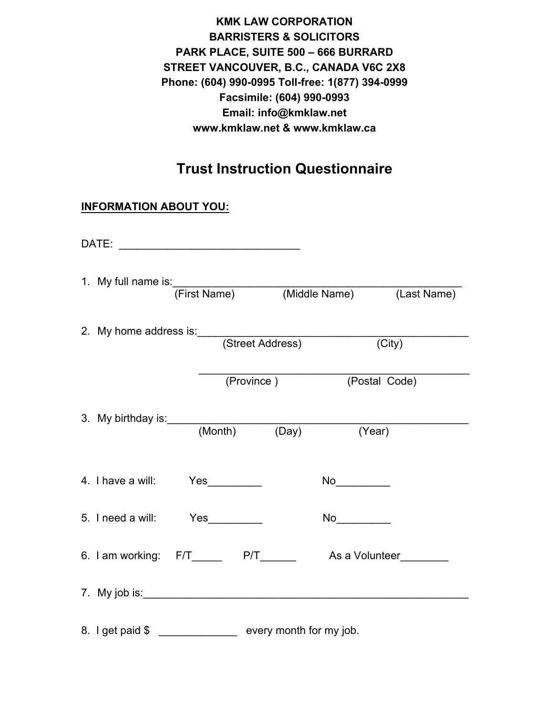**KMK LAW CORPORATION BARRISTERS & SOLICITORS PARK PLACE, SUITE 500 – 666 BURRARD STREET VANCOUVER, B.C., CANADA V6C 2X8 Phone: (604) 990-0995 Toll-free: 1(877) 394-0999 Facsimile: (604) 990-0993 Email: info@kmklaw.net www.kmklaw.net & www.kmklaw.ca**

# **Trust Instruction Questionnaire**

## **INFORMATION ABOUT YOU:**

|                                                                   |  |                          | 1. My full name is: (First Name) (Middle Name) (Last Name) |
|-------------------------------------------------------------------|--|--------------------------|------------------------------------------------------------|
| 2. My home address is: (Street Address)                           |  |                          | $\overline{(City)}$                                        |
|                                                                   |  | (Province) (Postal Code) |                                                            |
| 3. My birthday is: (Month) (Day) (Year)                           |  |                          |                                                            |
| 4. I have a will: Yes                                             |  |                          |                                                            |
| 5. I need a will: Yes                                             |  | No                       |                                                            |
| 6. I am working: F/T________ P/T_________ As a Volunteer_________ |  |                          |                                                            |
|                                                                   |  |                          |                                                            |
| 8. I get paid \$                                                  |  | every month for my job.  |                                                            |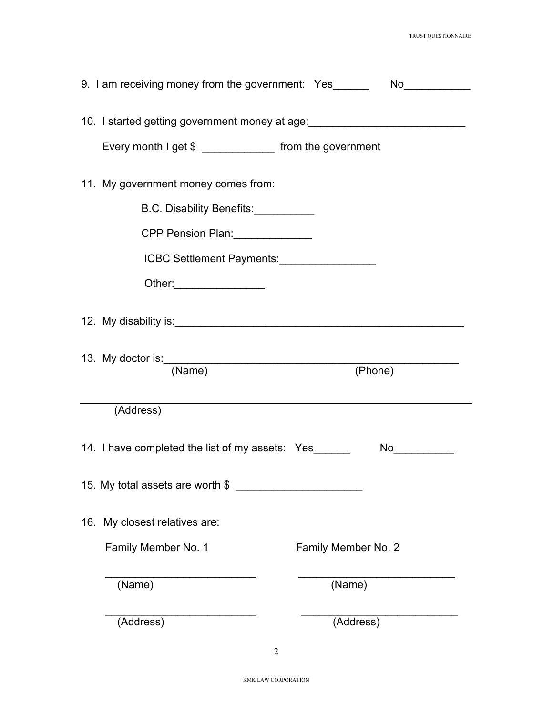| 9. I am receiving money from the government: Yes________________________________ |  |
|----------------------------------------------------------------------------------|--|
| 10. I started getting government money at age:                                   |  |
| Every month I get \$ ______________ from the government                          |  |
| 11. My government money comes from:                                              |  |
| B.C. Disability Benefits:                                                        |  |
| CPP Pension Plan: ______________                                                 |  |
| ICBC Settlement Payments: [1995]                                                 |  |
| Other: ___________________                                                       |  |
|                                                                                  |  |
| (Phone)<br>(Name)                                                                |  |
| (Address)                                                                        |  |
| 14. I have completed the list of my assets: Yes_______                           |  |
| 15. My total assets are worth \$                                                 |  |
| 16. My closest relatives are:                                                    |  |
| Family Member No. 1<br>Family Member No. 2                                       |  |
|                                                                                  |  |
| (Name)<br>(Name)                                                                 |  |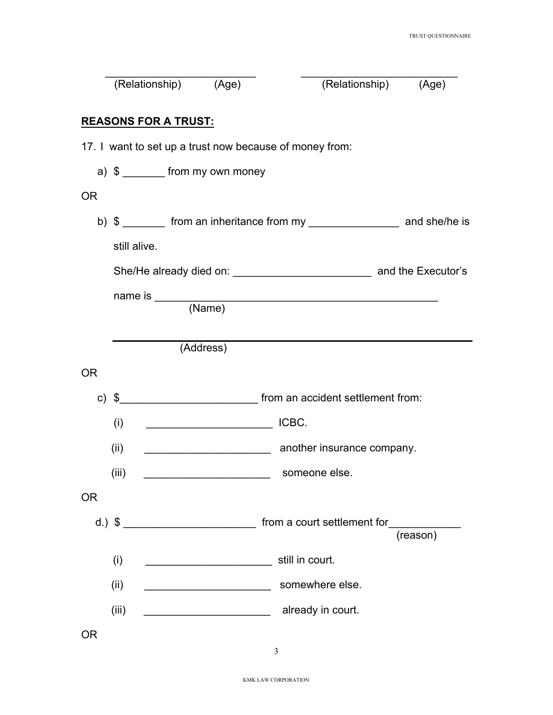|           | (Relationship) (Age)                                    |                                                        | (Relationship)                                                                 | (Age)    |
|-----------|---------------------------------------------------------|--------------------------------------------------------|--------------------------------------------------------------------------------|----------|
|           | <b>REASONS FOR A TRUST:</b>                             |                                                        |                                                                                |          |
|           | 17. I want to set up a trust now because of money from: |                                                        |                                                                                |          |
|           | a) $\frac{1}{2}$ from my own money                      |                                                        |                                                                                |          |
| <b>OR</b> |                                                         |                                                        |                                                                                |          |
|           |                                                         |                                                        | b) \$ ________ from an inheritance from my _____________________ and she/he is |          |
|           | still alive.                                            |                                                        |                                                                                |          |
|           |                                                         |                                                        |                                                                                |          |
|           |                                                         |                                                        |                                                                                |          |
|           |                                                         | (Address)                                              |                                                                                |          |
| <b>OR</b> |                                                         |                                                        |                                                                                |          |
|           | c) $\sqrt{2}$                                           |                                                        |                                                                                |          |
|           | (i)                                                     | <u> 1989 - Jan Barnett, fransk politiker (d. 1989)</u> | ICBC.                                                                          |          |
|           | (ii)                                                    |                                                        | another insurance company.                                                     |          |
|           | (iii)                                                   |                                                        | someone else.                                                                  |          |
| <b>OR</b> |                                                         |                                                        |                                                                                |          |
|           |                                                         |                                                        | d.) $\frac{1}{2}$ $\frac{1}{2}$ $\frac{1}{2}$ from a court settlement for      | (reason) |
|           | (i)                                                     |                                                        | still in court.                                                                |          |
|           | (ii)                                                    |                                                        | somewhere else.                                                                |          |
|           | (iii)                                                   | <u> 1990 - Johann Barbara, martin a</u>                | already in court.                                                              |          |
| <b>OR</b> |                                                         |                                                        |                                                                                |          |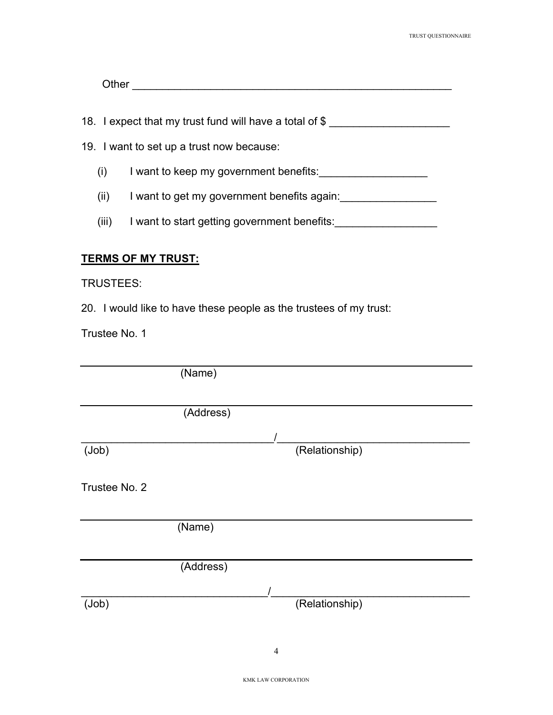| --- |  |  |  |
|-----|--|--|--|
|     |  |  |  |

18. I expect that my trust fund will have a total of \$

- 19. I want to set up a trust now because:
	- (i) I want to keep my government benefits:\_\_\_\_\_\_\_\_\_\_\_\_\_\_\_\_\_\_
	- (ii) I want to get my government benefits again:
	- (iii) I want to start getting government benefits:

## **TERMS OF MY TRUST:**

### TRUSTEES:

20. I would like to have these people as the trustees of my trust:

Trustee No. 1

|               | (Name)    |                |  |
|---------------|-----------|----------------|--|
|               |           |                |  |
|               | (Address) |                |  |
|               |           |                |  |
| (Job)         |           | (Relationship) |  |
| Trustee No. 2 |           |                |  |
|               | (Name)    |                |  |
|               | (Address) |                |  |
|               |           |                |  |
| (Job)         |           | (Relationship) |  |
|               |           |                |  |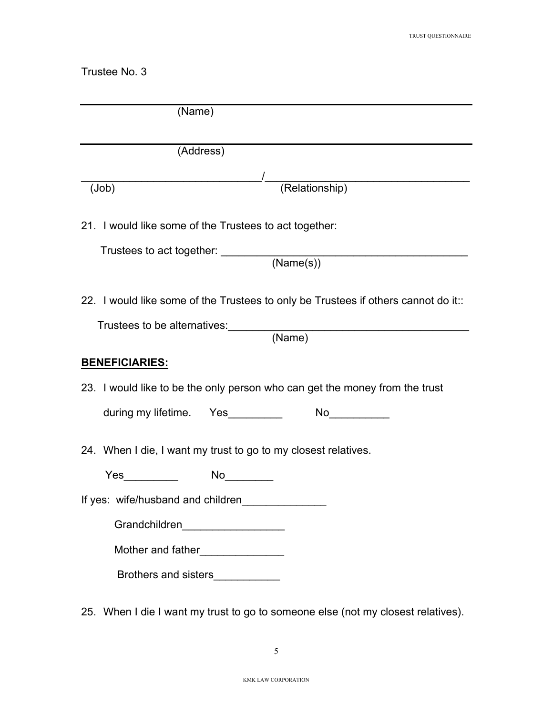Trustee No. 3

| (Name)                            |                                                                                   |
|-----------------------------------|-----------------------------------------------------------------------------------|
|                                   | (Address)                                                                         |
|                                   |                                                                                   |
| (Job)                             |                                                                                   |
|                                   | 21. I would like some of the Trustees to act together:                            |
|                                   | Trustees to act together: (Name(s))                                               |
|                                   | 22. I would like some of the Trustees to only be Trustees if others cannot do it: |
|                                   | Trustees to be alternatives: (Name)                                               |
| <u>BENEFICIARIES:</u>             |                                                                                   |
|                                   | 23. I would like to be the only person who can get the money from the trust       |
|                                   |                                                                                   |
|                                   | 24. When I die, I want my trust to go to my closest relatives.                    |
| Yes__________   No________        |                                                                                   |
| If yes: wife/husband and children |                                                                                   |
|                                   | Grandchildren____________________                                                 |
|                                   | Mother and father________________                                                 |
|                                   | Brothers and sisters____________                                                  |
|                                   | 25. When I die I want my trust to go to someone else (not my closest relatives).  |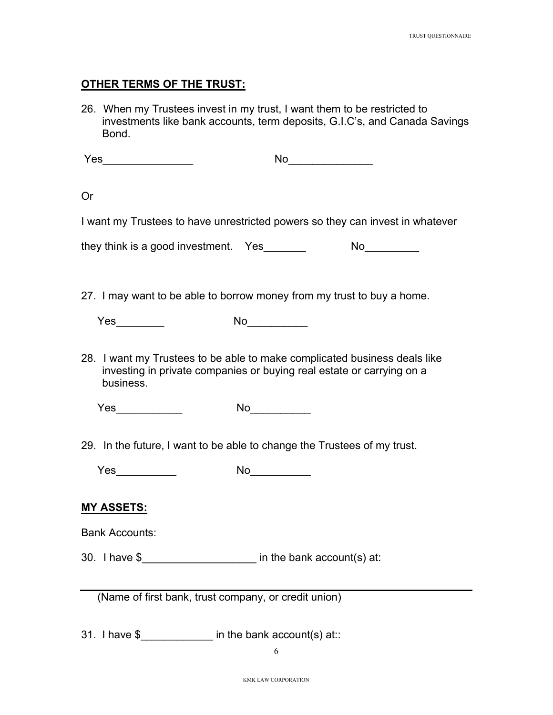#### **OTHER TERMS OF THE TRUST:**

26. When my Trustees invest in my trust, I want them to be restricted to investments like bank accounts, term deposits, G.I.C's, and Canada Savings Bond.

Yes\_\_\_\_\_\_\_\_\_\_\_\_\_\_\_ No\_\_\_\_\_\_\_\_\_\_\_\_\_\_

Or

I want my Trustees to have unrestricted powers so they can invest in whatever

they think is a good investment. Yes Mo

27. I may want to be able to borrow money from my trust to buy a home.

| Yes | No |
|-----|----|
|     |    |

28. I want my Trustees to be able to make complicated business deals like investing in private companies or buying real estate or carrying on a business.

Yes\_\_\_\_\_\_\_\_\_\_\_ No\_\_\_\_\_\_\_\_\_\_

29. In the future, I want to be able to change the Trustees of my trust.

| び    |     |
|------|-----|
| $ -$ | M   |
| ה    | . . |
| -    | . . |
|      |     |

#### **MY ASSETS:**

Bank Accounts:

30. I have \$\_\_\_\_\_\_\_\_\_\_\_\_\_\_\_\_\_\_\_ in the bank account(s) at:

(Name of first bank, trust company, or credit union)

31. I have \$ The bank account(s) at::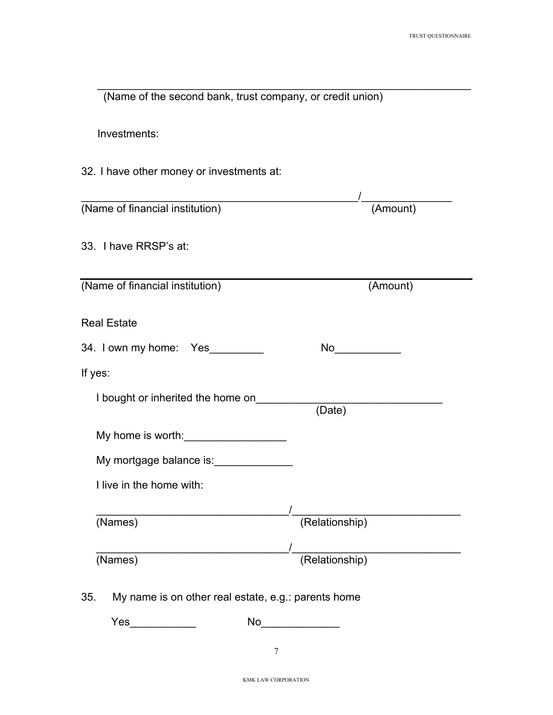| (Name of the second bank, trust company, or credit union)  |                     |
|------------------------------------------------------------|---------------------|
| Investments:                                               |                     |
| 32. I have other money or investments at:                  |                     |
| (Name of financial institution)                            | (Amount)            |
| 33. I have RRSP's at:                                      |                     |
| (Name of financial institution)                            | (Amount)            |
| <b>Real Estate</b>                                         |                     |
| 34. I own my home: Yes                                     | No_______________   |
| If yes:                                                    |                     |
| I bought or inherited the home on                          | (Date)              |
| My home is worth:                                          |                     |
| My mortgage balance is:<br><u>My mortgage balance</u> is:  |                     |
| I live in the home with:                                   |                     |
| $(\overline{\text{Names}})$                                | (Relationship)      |
| $\overline{\text{(Names)}}$                                | /<br>(Relationship) |
| My name is on other real estate, e.g.: parents home<br>35. |                     |
| Yes                                                        | No                  |